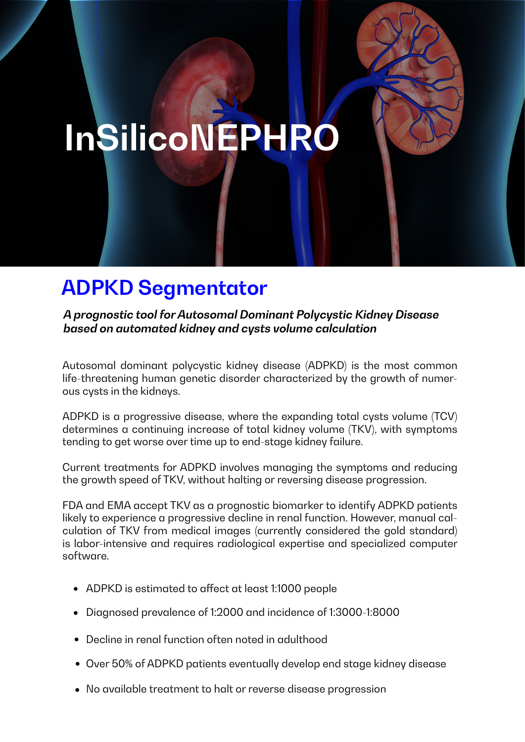# **InSilicoNEPHRO**

# **ADPKD Segmentator**

*A prognostic tool for Autosomal Dominant Polycystic Kidney Disease based on automated kidney and cysts volume calculation*

Autosomal dominant polycystic kidney disease (ADPKD) is the most common life-threatening human genetic disorder characterized by the growth of numerous cysts in the kidneys.

ADPKD is a progressive disease, where the expanding total cysts volume (TCV) determines a continuing increase of total kidney volume (TKV), with symptoms tending to get worse over time up to end-stage kidney failure.

Current treatments for ADPKD involves managing the symptoms and reducing the growth speed of TKV, without halting or reversing disease progression.

FDA and EMA accept TKV as a prognostic biomarker to identify ADPKD patients likely to experience a progressive decline in renal function. However, manual calculation of TKV from medical images (currently considered the gold standard) is labor-intensive and requires radiological expertise and specialized computer software.

- ADPKD is estimated to affect at least 1:1000 people
- Diagnosed prevalence of 1:2000 and incidence of 1:3000-1:8000
- Decline in renal function often noted in adulthood
- Over 50% of ADPKD patients eventually develop end stage kidney disease
- No available treatment to halt or reverse disease progression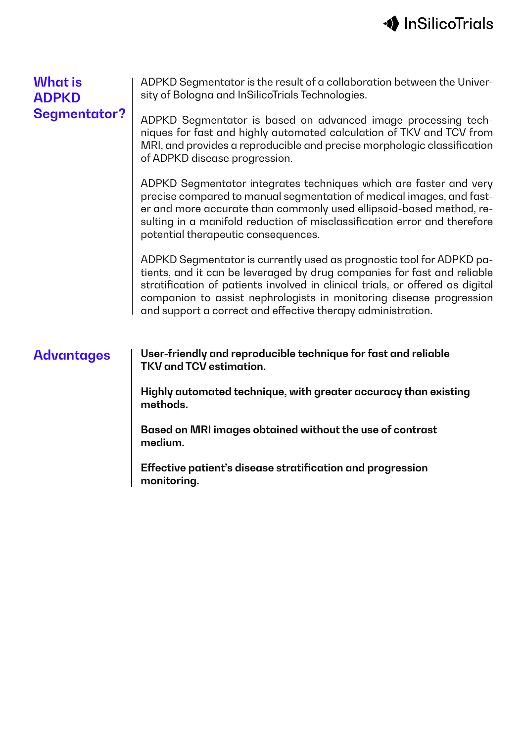

#### **What is ADPKD Segmentator?**

ADPKD Segmentator is the result of a collaboration between the University of Bologna and InSilicoTrials Technologies.

ADPKD Segmentator is based on advanced image processing techniques for fast and highly automated calculation of TKV and TCV from MRI, and provides a reproducible and precise morphologic classification of ADPKD disease progression.

ADPKD Segmentator integrates techniques which are faster and very precise compared to manual segmentation of medical images, and faster and more accurate than commonly used ellipsoid-based method, resulting in a manifold reduction of misclassification error and therefore potential therapeutic consequences.

ADPKD Segmentator is currently used as prognostic tool for ADPKD patients, and it can be leveraged by drug companies for fast and reliable stratification of patients involved in clinical trials, or offered as digital companion to assist nephrologists in monitoring disease progression and support a correct and effective therapy administration.

**Advantages User-friendly and reproducible technique for fast and reliable TKV and TCV estimation.**

> **Highly automated technique, with greater accuracy than existing methods.**

**Based on MRI images obtained without the use of contrast medium.**

**Effective patient's disease stratification and progression monitoring.**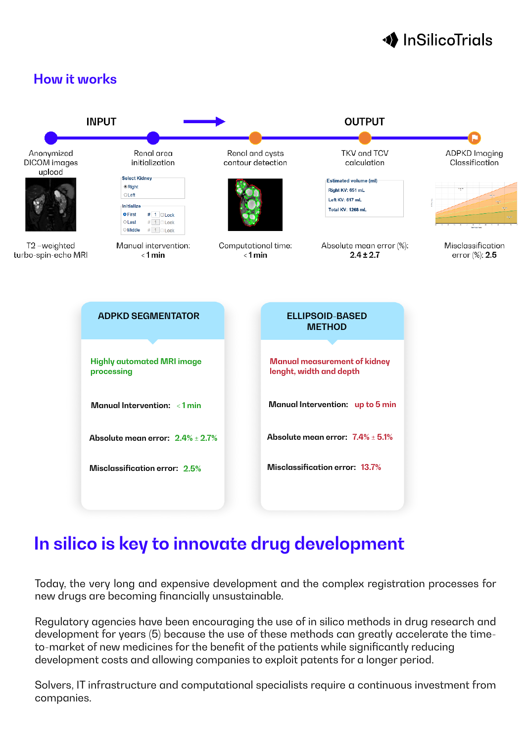# **◆** InSilicoTrials





# **In silico is key to innovate drug development**

Today, the very long and expensive development and the complex registration processes for new drugs are becoming financially unsustainable.

Regulatory agencies have been encouraging the use of in silico methods in drug research and development for years (5) because the use of these methods can greatly accelerate the timeto-market of new medicines for the benefit of the patients while significantly reducing development costs and allowing companies to exploit patents for a longer period.

Solvers, IT infrastructure and computational specialists require a continuous investment from companies.